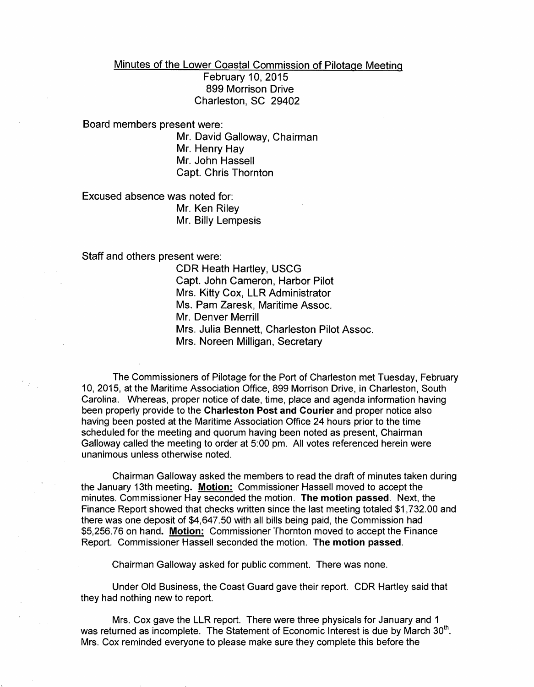Minutes of the Lower Coastal Commission of Pilotage Meeting February 10, 2015 899 Morrison Drive Charleston, SC 29402

Board members present were:

Mr. David Galloway, Chairman Mr. Henry Hay Mr. John Hassell Capt. Chris Thornton

Excused absence was noted for: Mr. Ken Riley Mr. Billy Lempesis

Staff and others present were:

CDR Heath Hartley, USCG Capt. John Cameron, Harbor Pilot Mrs. Kitty Cox, LLR Administrator Ms. Pam Zaresk, Maritime Assoc. Mr. Denver Merrill Mrs. Julia Bennett, Charleston Pilot Assoc. Mrs. Noreen Milligan, Secretary

The Commissioners of Pilotage for the Port of Charleston met Tuesday, February 10, 2015, at the Maritime Association Office, 899 Morrison Drive, in Charleston, South Carolina. Whereas, proper notice of date, time, place and agenda information having been properly provide to the Charleston Post and Courier and proper notice also having been posted at the Maritime Association Office 24 hours prior to the time scheduled for the meeting and quorum having been noted as present, Chairman Galloway called the meeting to order at 5:00 pm. All votes referenced herein were unanimous unless otherwise noted.

Chairman Galloway asked the members to read the draft of minutes taken during the January 13th meeting. Motion: Commissioner Hassell moved to accept the minutes. Commissioner Hay seconded the motion. The motion passed. Next, the Finance Report showed that checks written since the last meeting totaled \$1,732.00 and there was one deposit of \$4,647.50 with all bills being paid, the Commission had \$5,256.76 on hand. Motion: Commissioner Thornton moved to accept the Finance Report. Commissioner Hassell seconded the motion. The motion passed.

Chairman Galloway asked for public comment. There was none.

Under Old Business, the Coast Guard gave their report. CDR Hartley said that they had nothing new to report.

Mrs. Cox gave the LLR report. There were three physicals for January and 1 was returned as incomplete. The Statement of Economic Interest is due by March 30<sup>th</sup>. Mrs. Cox reminded everyone to please make sure they complete this before the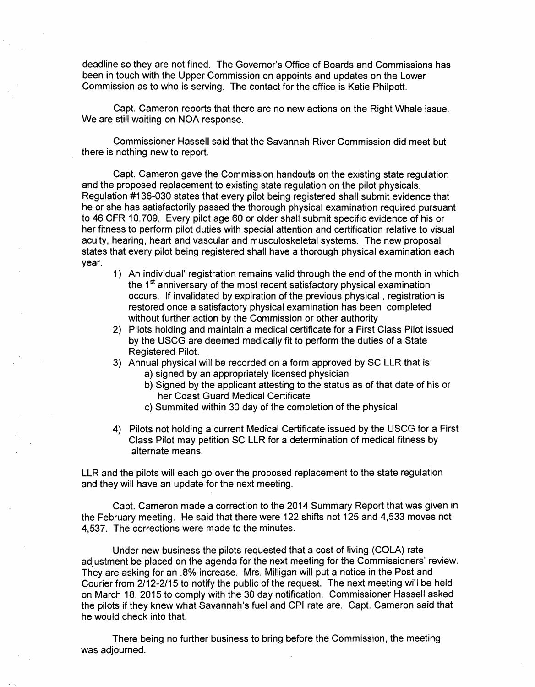deadline so they are not fined. The Governor's Office of Boards and Commissions has been in touch with the Upper Commission on appoints and updates on the Lower Commission as to who is serving. The contact for the office is Katie Philpott.

Capt. Cameron reports that there are no new actions on the Right Whale issue. We are still waiting on NOA response.

Commissioner Hassell said that the Savannah River Commission did meet but there is nothing new to report.

Capt. Cameron gave the Commission handouts on the existing state regulation and the proposed replacement to existing state regulation on the pilot physicals. Regulation #136-030 states that every pilot being registered shall submit evidence that he or she has satisfactorily passed the thorough physical examination required pursuant to 46 CFR 10.709. Every pilot age 60 or older shall submit specific evidence of his or her fitness to perform pilot duties with special attention and certification relative to visual acuity, hearing, heart and vascular and musculoskeletal systems. The new proposal states that every pilot being registered shall have a thorough physical examination each year.

- 1) An individual' registration remains valid through the end of the month in which the 1<sup>st</sup> anniversary of the most recent satisfactory physical examination occurs. If invalidated by expiration of the previous physical, registration is restored once a satisfactory physical examination has been completed without further action by the Commission or other authority
- 2) Pilots holding and maintain a medical certificate for a First Class Pilot issued by the USCG are deemed medically fit to perform the duties of a State Registered Pilot.
- 3) Annual physical will be recorded on a form approved by SC LLR that is:
	- a) signed by an appropriately licensed physician
	- b) Signed by the applicant attesting to the status as of that date of his or her Coast Guard Medical Certificate
	- c) Summited within 30 day of the completion of the physical
- 4) Pilots not holding a current Medical Certificate issued by the USCG for a First Class Pilot may petition SC LLR for a determination of medical fitness by alternate means.

LLR and the pilots will each go over the proposed replacement to the state regulation and they will have an update for the next meeting.

Capt. Cameron made a correction to the 2014 Summary Report that was given in the February meeting. He said that there were 122 shifts not 125 and 4,533 moves not 4,537. The corrections were made to the minutes.

Under new business the pilots requested that a cost of living (COLA) rate adjustment be placed on the agenda for the next meeting for the Commissioners' review. They are asking for an .8% increase. Mrs. Milligan will put a notice in the Post and Courier from 2/12-2/15 to notify the public of the request. The next meeting will be held on March 18,2015 to comply with the 30 day notification. Commissioner Hassell asked the pilots if they knew what Savannah's fuel and CPI rate are. Capt. Cameron said that he would check into that.

There being no further business to bring before the Commission, the meeting was adjourned.